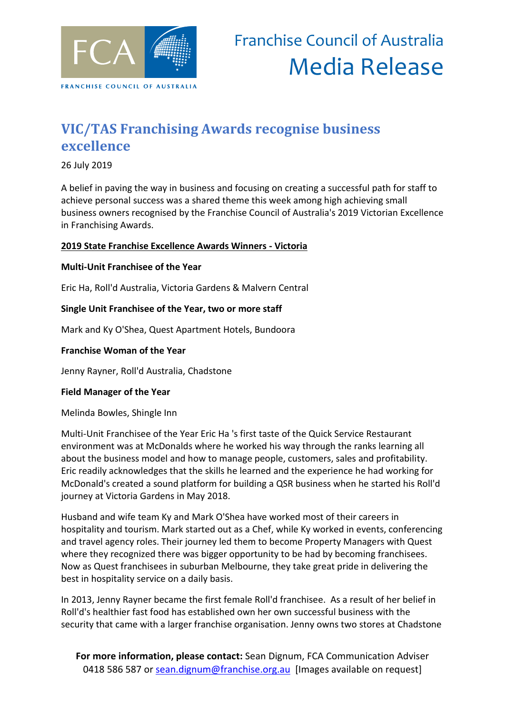

## **VIC/TAS Franchising Awards recognise business excellence**

26 July 2019

A belief in paving the way in business and focusing on creating a successful path for staff to achieve personal success was a shared theme this week among high achieving small business owners recognised by the Franchise Council of Australia's 2019 Victorian Excellence in Franchising Awards.

### **2019 State Franchise Excellence Awards Winners - Victoria**

### **Multi-Unit Franchisee of the Year**

Eric Ha, Roll'd Australia, Victoria Gardens & Malvern Central

### **Single Unit Franchisee of the Year, two or more staff**

Mark and Ky O'Shea, Quest Apartment Hotels, Bundoora

#### **Franchise Woman of the Year**

Jenny Rayner, Roll'd Australia, Chadstone

#### **Field Manager of the Year**

Melinda Bowles, Shingle Inn

Multi-Unit Franchisee of the Year Eric Ha 's first taste of the Quick Service Restaurant environment was at McDonalds where he worked his way through the ranks learning all about the business model and how to manage people, customers, sales and profitability. Eric readily acknowledges that the skills he learned and the experience he had working for McDonald's created a sound platform for building a QSR business when he started his Roll'd journey at Victoria Gardens in May 2018.

Husband and wife team Ky and Mark O'Shea have worked most of their careers in hospitality and tourism. Mark started out as a Chef, while Ky worked in events, conferencing and travel agency roles. Their journey led them to become Property Managers with Quest where they recognized there was bigger opportunity to be had by becoming franchisees. Now as Quest franchisees in suburban Melbourne, they take great pride in delivering the best in hospitality service on a daily basis.

In 2013, Jenny Rayner became the first female Roll'd franchisee. As a result of her belief in Roll'd's healthier fast food has established own her own successful business with the security that came with a larger franchise organisation. Jenny owns two stores at Chadstone

**For more information, please contact:** Sean Dignum, FCA Communication Adviser 0418 586 587 or [sean.dignum@franchise.org.au](mailto:sean.dignum@franchise.org.au) [Images available on request]